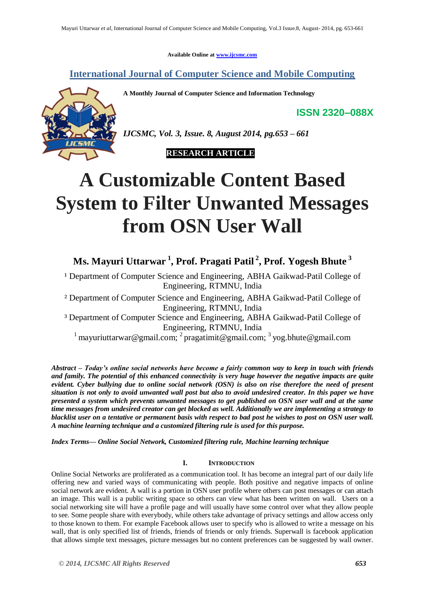**Available Online at www.ijcsmc.com**

**International Journal of Computer Science and Mobile Computing**

**A Monthly Journal of Computer Science and Information Technology**

**ISSN 2320–088X**



*IJCSMC, Vol. 3, Issue. 8, August 2014, pg.653 – 661*



# **A Customizable Content Based System to Filter Unwanted Messages from OSN User Wall**

# **Ms. Mayuri Uttarwar <sup>1</sup> , Prof. Pragati Patil 2 , Prof. Yogesh Bhute <sup>3</sup>**

<sup>1</sup> Department of Computer Science and Engineering, ABHA Gaikwad-Patil College of Engineering, RTMNU, India

² Department of Computer Science and Engineering, ABHA Gaikwad-Patil College of Engineering, RTMNU, India

³ Department of Computer Science and Engineering, ABHA Gaikwad-Patil College of Engineering, RTMNU, India

<sup>1</sup> mayuriuttarwar@gmail.com; <sup>2</sup> pragatimit@gmail.com; <sup>3</sup> yog.bhute@gmail.com

*Abstract – Today's online social networks have become a fairly common way to keep in touch with friends and family. The potential of this enhanced connectivity is very huge however the negative impacts are quite evident. Cyber bullying due to online social network (OSN) is also on rise therefore the need of present situation is not only to avoid unwanted wall post but also to avoid undesired creator. In this paper we have presented a system which prevents unwanted messages to get published on OSN user wall and at the same time messages from undesired creator can get blocked as well. Additionally we are implementing a strategy to blacklist user on a tentative or permanent basis with respect to bad post he wishes to post on OSN user wall. A machine learning technique and a customized filtering rule is used for this purpose.*

*Index Terms— Online Social Network, Customized filtering rule, Machine learning technique*

# **I. INTRODUCTION**

Online Social Networks are proliferated as a communication tool. It has become an integral part of our daily life offering new and varied ways of communicating with people. Both positive and negative impacts of online social network are evident. A wall is a portion in OSN user profile where others can post messages or can attach an image. This wall is a public writing space so others can view what has been written on wall. Users on a social networking site will have a profile page and will usually have some control over what they allow people to see. Some people share with everybody, while others take advantage of privacy settings and allow access only to those known to them. For example Facebook allows user to specify who is allowed to write a message on his wall, that is only specified list of friends, friends of friends or only friends. Superwall is facebook application that allows simple text messages, picture messages but no content preferences can be suggested by wall owner.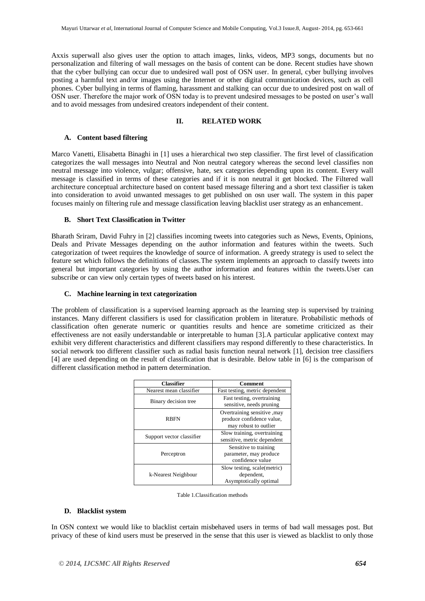Axxis superwall also gives user the option to attach images, links, videos, MP3 songs, documents but no personalization and filtering of wall messages on the basis of content can be done. Recent studies have shown that the cyber bullying can occur due to undesired wall post of OSN user. In general, cyber bullying involves posting a harmful text and/or images using the Internet or other digital communication devices, such as cell phones. Cyber bullying in terms of flaming, harassment and stalking can occur due to undesired post on wall of OSN user. Therefore the major work of OSN today is to prevent undesired messages to be posted on user's wall and to avoid messages from undesired creators independent of their content.

# **II. RELATED WORK**

#### **A. Content based filtering**

Marco Vanetti, Elisabetta Binaghi in [1] uses a hierarchical two step classifier. The first level of classification categorizes the wall messages into Neutral and Non neutral category whereas the second level classifies non neutral message into violence, vulgar; offensive, hate, sex categories depending upon its content. Every wall message is classified in terms of these categories and if it is non neutral it get blocked. The Filtered wall architecture conceptual architecture based on content based message filtering and a short text classifier is taken into consideration to avoid unwanted messages to get published on osn user wall. The system in this paper focuses mainly on filtering rule and message classification leaving blacklist user strategy as an enhancement.

### **B. Short Text Classification in Twitter**

Bharath Sriram, David Fuhry in [2] classifies incoming tweets into categories such as News, Events, Opinions, Deals and Private Messages depending on the author information and features within the tweets. Such categorization of tweet requires the knowledge of source of information. A greedy strategy is used to select the feature set which follows the definitions of classes.The system implements an approach to classify tweets into general but important categories by using the author information and features within the tweets.User can subscribe or can view only certain types of tweets based on his interest.

### **C. Machine learning in text categorization**

The problem of classification is a supervised learning approach as the learning step is supervised by training instances. Many different classifiers is used for classification problem in literature. Probabilistic methods of classification often generate numeric or quantities results and hence are sometime criticized as their effectiveness are not easily understandable or interpretable to human [3].A particular applicative context may exhibit very different characteristics and different classifiers may respond differently to these characteristics. In social network too different classifier such as radial basis function neural network [1], decision tree classifiers [4] are used depending on the result of classification that is desirable. Below table in [6] is the comparison of different classification method in pattern determination.

| <b>Classifier</b>         | Comment                                                                            |
|---------------------------|------------------------------------------------------------------------------------|
| Nearest mean classifier   | Fast testing, metric dependent                                                     |
| Binary decision tree      | Fast testing, overtraining<br>sensitive, needs pruning                             |
| <b>RBFN</b>               | Overtraining sensitive , may<br>produce confidence value,<br>may robust to outlier |
| Support vector classifier | Slow training, overtraining<br>sensitive, metric dependent                         |
| Perceptron                | Sensitive to training<br>parameter, may produce<br>confidence value                |
| k-Nearest Neighbour       | Slow testing, scale(metric)<br>dependent,<br>Asymptotically optimal                |

| Table 1. Classification methods |  |
|---------------------------------|--|
|---------------------------------|--|

### **D. Blacklist system**

In OSN context we would like to blacklist certain misbehaved users in terms of bad wall messages post. But privacy of these of kind users must be preserved in the sense that this user is viewed as blacklist to only those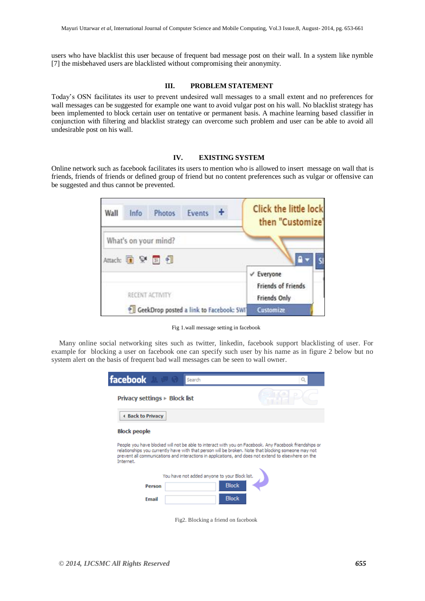users who have blacklist this user because of frequent bad message post on their wall. In a system like nymble [7] the misbehaved users are blacklisted without compromising their anonymity.

#### **III. PROBLEM STATEMENT**

Today's OSN facilitates its user to prevent undesired wall messages to a small extent and no preferences for wall messages can be suggested for example one want to avoid vulgar post on his wall. No blacklist strategy has been implemented to block certain user on tentative or permanent basis. A machine learning based classifier in conjunction with filtering and blacklist strategy can overcome such problem and user can be able to avoid all undesirable post on his wall.

#### **IV. EXISTING SYSTEM**

Online network such as facebook facilitates its users to mention who is allowed to insert message on wall that is friends, friends of friends or defined group of friend but no content preferences such as vulgar or offensive can be suggested and thus cannot be prevented.



Fig 1.wall message setting in facebook

Many online social networking sites such as twitter, linkedin, facebook support blacklisting of user. For example for blocking a user on facebook one can specify such user by his name as in figure 2 below but no system alert on the basis of frequent bad wall messages can be seen to wall owner.

| facebook                                                                                                                                                                                                                                                                                                                            | Search                              |  |  |
|-------------------------------------------------------------------------------------------------------------------------------------------------------------------------------------------------------------------------------------------------------------------------------------------------------------------------------------|-------------------------------------|--|--|
| Privacy settings $\triangleright$ Block list                                                                                                                                                                                                                                                                                        |                                     |  |  |
| <b>4 Back to Privacy</b>                                                                                                                                                                                                                                                                                                            |                                     |  |  |
| <b>Block people</b>                                                                                                                                                                                                                                                                                                                 |                                     |  |  |
| People you have blocked will not be able to interact with you on Facebook. Any Facebook friendships or<br>relationships you currently have with that person will be broken. Note that blocking someone may not<br>prevent all communications and interactions in applications, and does not extend to elsewhere on the<br>Internet. |                                     |  |  |
| You have not added anyone to your Block list.                                                                                                                                                                                                                                                                                       |                                     |  |  |
| Person                                                                                                                                                                                                                                                                                                                              | <b>Block</b>                        |  |  |
| Email                                                                                                                                                                                                                                                                                                                               | <b>Block</b>                        |  |  |
|                                                                                                                                                                                                                                                                                                                                     | Fig2. Blocking a friend on facebook |  |  |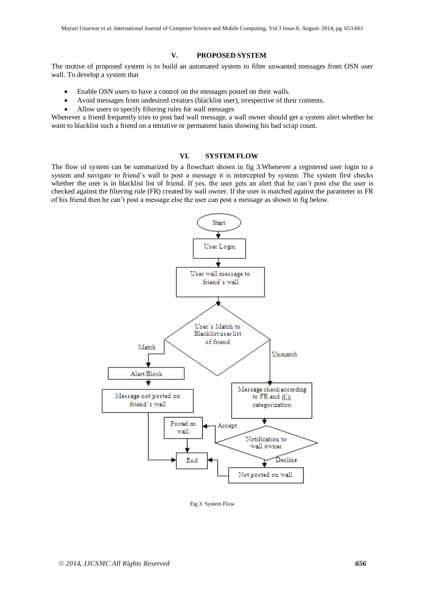## **V. PROPOSED SYSTEM**

The motive of proposed system is to build an automated system to filter unwanted messages from OSN user wall. To develop a system that

- Enable OSN users to have a control on the messages posted on their walls.
- Avoid messages from undesired creators (blacklist user), irrespective of their contents.
- Allow users to specify filtering rules for wall messages

Whenever a friend frequently tries to post bad wall message, a wall owner should get a system alert whether he want to blacklist such a friend on a tentative or permanent basis showing his bad scrap count.

#### **VI. SYSTEM FLOW**

The flow of system can be summarized by a flowchart shown in fig 3.Whenever a registered user login to a system and navigate to friend's wall to post a message it is intercepted by system. The system first checks whether the user is in blacklist list of friend. If yes, the user gets an alert that he can't post else the user is checked against the filtering rule (FR) created by wall owner. If the user is matched against the parameter in FR of his friend then he can't post a message else the user can post a message as shown in fig below.



Fig 3. System Flow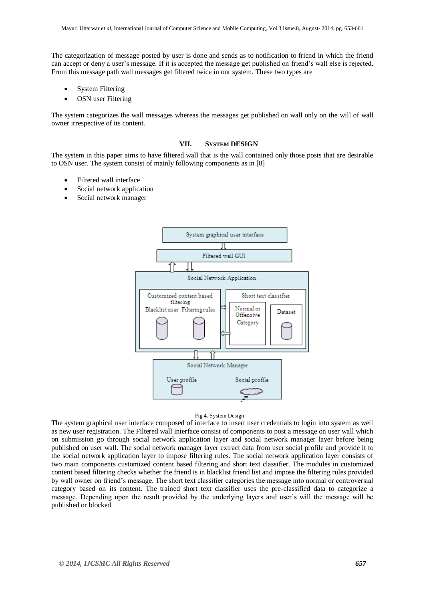The categorization of message posted by user is done and sends as to notification to friend in which the friend can accept or deny a user's message. If it is accepted the message get published on friend's wall else is rejected. From this message path wall messages get filtered twice in our system. These two types are

- System Filtering
- OSN user Filtering

The system categorizes the wall messages whereas the messages get published on wall only on the will of wall owner irrespective of its content.

#### **VII. SYSTEM DESIGN**

The system in this paper aims to have filtered wall that is the wall contained only those posts that are desirable to OSN user. The system consist of mainly following components as in [8]

- Filtered wall interface
- Social network application
- Social network manager



#### Fig 4. System Design

The system graphical user interface composed of interface to insert user credentials to login into system as well as new user registration. The Filtered wall interface consist of components to post a message on user wall which on submission go through social network application layer and social network manager layer before being published on user wall. The social network manager layer extract data from user social profile and provide it to the social network application layer to impose filtering rules. The social network application layer consists of two main components customized content based filtering and short text classifier. The modules in customized content based filtering checks whether the friend is in blacklist friend list and impose the filtering rules provided by wall owner on friend's message. The short text classifier categories the message into normal or controversial category based on its content. The trained short text classifier uses the pre-classified data to categorize a message. Depending upon the result provided by the underlying layers and user's will the message will be published or blocked.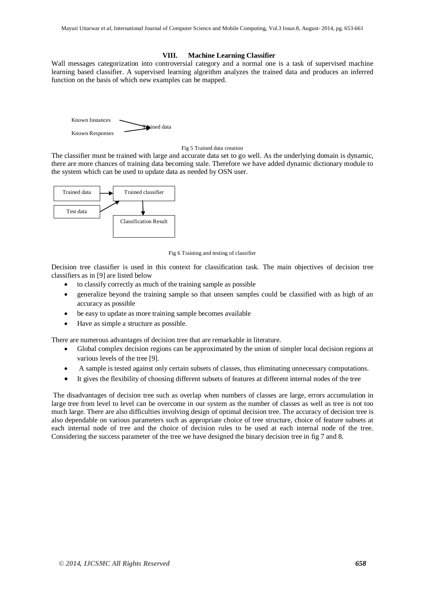#### **VIII. Machine Learning Classifier**

Wall messages categorization into controversial category and a normal one is a task of supervised machine learning based classifier. A supervised learning algorithm analyzes the trained data and produces an inferred function on the basis of which new examples can be mapped.



#### Fig 5 Trained data creation

The classifier must be trained with large and accurate data set to go well. As the underlying domain is dynamic, there are more chances of training data becoming stale. Therefore we have added dynamic dictionary module to the system which can be used to update data as needed by OSN user.



#### Fig 6 Training and testing of classifier

Decision tree classifier is used in this context for classification task. The main objectives of decision tree classifiers as in [9] are listed below

- to classify correctly as much of the training sample as possible
- generalize beyond the training sample so that unseen samples could be classified with as high of an accuracy as possible
- be easy to update as more training sample becomes available
- Have as simple a structure as possible.

There are numerous advantages of decision tree that are remarkable in literature.

- Global complex decision regions can be approximated by the union of simpler local decision regions at various levels of the tree [9].
- A sample is tested against only certain subsets of classes, thus eliminating unnecessary computations.
- It gives the flexibility of choosing different subsets of features at different internal nodes of the tree

The disadvantages of decision tree such as overlap when numbers of classes are large, errors accumulation in large tree from level to level can be overcome in our system as the number of classes as well as tree is not too much large. There are also difficulties involving design of optimal decision tree. The accuracy of decision tree is also dependable on various parameters such as appropriate choice of tree structure, choice of feature subsets at each internal node of tree and the choice of decision rules to be used at each internal node of the tree. Considering the success parameter of the tree we have designed the binary decision tree in fig 7 and 8.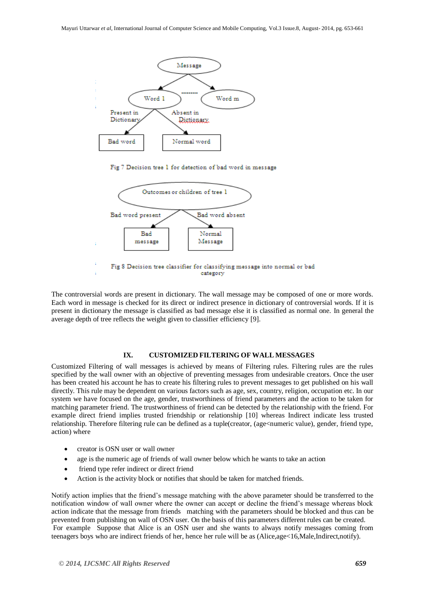

Fig 7 Decision tree 1 for detection of bad word in message



The controversial words are present in dictionary. The wall message may be composed of one or more words. Each word in message is checked for its direct or indirect presence in dictionary of controversial words. If it is present in dictionary the message is classified as bad message else it is classified as normal one. In general the average depth of tree reflects the weight given to classifier efficiency [9].

# **IX. CUSTOMIZED FILTERING OF WALL MESSAGES**

Customized Filtering of wall messages is achieved by means of Filtering rules. Filtering rules are the rules specified by the wall owner with an objective of preventing messages from undesirable creators. Once the user has been created his account he has to create his filtering rules to prevent messages to get published on his wall directly. This rule may be dependent on various factors such as age, sex, country, religion, occupation etc. In our system we have focused on the age, gender, trustworthiness of friend parameters and the action to be taken for matching parameter friend. The trustworthiness of friend can be detected by the relationship with the friend. For example direct friend implies trusted friendship or relationship [10] whereas Indirect indicate less trusted relationship. Therefore filtering rule can be defined as a tuple(creator, (age<numeric value), gender, friend type, action) where

- creator is OSN user or wall owner
- age is the numeric age of friends of wall owner below which he wants to take an action
- friend type refer indirect or direct friend
- Action is the activity block or notifies that should be taken for matched friends.

Notify action implies that the friend's message matching with the above parameter should be transferred to the notification window of wall owner where the owner can accept or decline the friend's message whereas block action indicate that the message from friends matching with the parameters should be blocked and thus can be prevented from publishing on wall of OSN user. On the basis of this parameters different rules can be created. For example Suppose that Alice is an OSN user and she wants to always notify messages coming from teenagers boys who are indirect friends of her, hence her rule will be as (Alice,age<16,Male,Indirect,notify).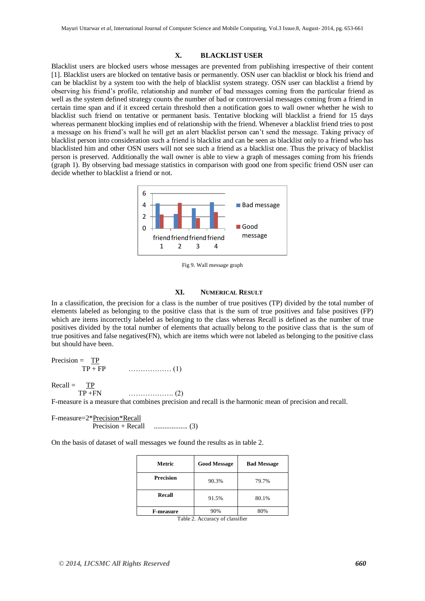#### **X. BLACKLIST USER**

Blacklist users are blocked users whose messages are prevented from publishing irrespective of their content [1]. Blacklist users are blocked on tentative basis or permanently. OSN user can blacklist or block his friend and can be blacklist by a system too with the help of blacklist system strategy. OSN user can blacklist a friend by observing his friend's profile, relationship and number of bad messages coming from the particular friend as well as the system defined strategy counts the number of bad or controversial messages coming from a friend in certain time span and if it exceed certain threshold then a notification goes to wall owner whether he wish to blacklist such friend on tentative or permanent basis. Tentative blocking will blacklist a friend for 15 days whereas permanent blocking implies end of relationship with the friend. Whenever a blacklist friend tries to post a message on his friend's wall he will get an alert blacklist person can't send the message. Taking privacy of blacklist person into consideration such a friend is blacklist and can be seen as blacklist only to a friend who has blacklisted him and other OSN users will not see such a friend as a blacklist one. Thus the privacy of blacklist person is preserved. Additionally the wall owner is able to view a graph of messages coming from his friends (graph 1). By observing bad message statistics in comparison with good one from specific friend OSN user can decide whether to blacklist a friend or not.



Fig 9. Wall message graph

#### **XI. NUMERICAL RESULT**

In a classification, the precision for a class is the number of true positives (TP) divided by the total number of elements labeled as belonging to the positive class that is the sum of true positives and false positives (FP) which are items incorrectly labeled as belonging to the class whereas Recall is defined as the number of true positives divided by the total number of elements that actually belong to the positive class that is the sum of true positives and false negatives(FN), which are items which were not labeled as belonging to the positive class but should have been.

Precision = TP TP + FP ……………… (1)

 $Recall = TP$ TP +FN ………………. (2)

F-measure is a measure that combines precision and recall is the harmonic mean of precision and recall.

F-measure=2\*Precision\*Recall Precision + Recall ................... (3)

On the basis of dataset of wall messages we found the results as in table 2.

| Metric           | <b>Good Message</b> | <b>Bad Message</b> |
|------------------|---------------------|--------------------|
| <b>Precision</b> | 90.3%               | 79.7%              |
| Recall           | 91.5%               | 80.1%              |
| <b>F-measure</b> | 90%                 | 80%                |

Table 2. Accuracy of classifier